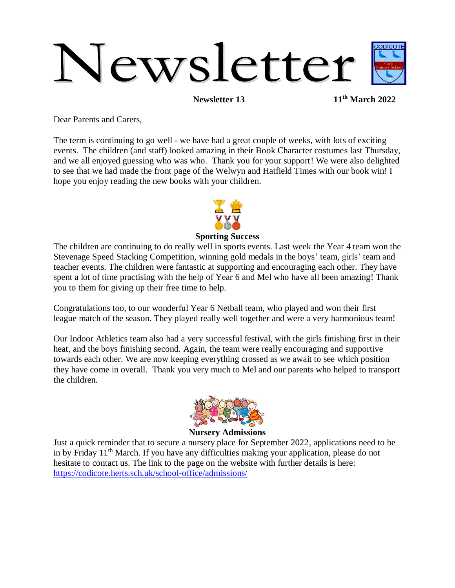# Newsletter

**Newsletter 13 11th March 2022**

Dear Parents and Carers,

The term is continuing to go well - we have had a great couple of weeks, with lots of exciting events. The children (and staff) looked amazing in their Book Character costumes last Thursday, and we all enjoyed guessing who was who. Thank you for your support! We were also delighted to see that we had made the front page of the Welwyn and Hatfield Times with our book win! I hope you enjoy reading the new books with your children.



#### **Sporting Success**

The children are continuing to do really well in sports events. Last week the Year 4 team won the Stevenage Speed Stacking Competition, winning gold medals in the boys' team, girls' team and teacher events. The children were fantastic at supporting and encouraging each other. They have spent a lot of time practising with the help of Year 6 and Mel who have all been amazing! Thank you to them for giving up their free time to help.

Congratulations too, to our wonderful Year 6 Netball team, who played and won their first league match of the season. They played really well together and were a very harmonious team!

Our Indoor Athletics team also had a very successful festival, with the girls finishing first in their heat, and the boys finishing second. Again, the team were really encouraging and supportive towards each other. We are now keeping everything crossed as we await to see which position they have come in overall. Thank you very much to Mel and our parents who helped to transport the children.



#### **Nursery Admissions**

Just a quick reminder that to secure a nursery place for September 2022, applications need to be in by Friday 11<sup>th</sup> March. If you have any difficulties making your application, please do not hesitate to contact us. The link to the page on the website with further details is here: <https://codicote.herts.sch.uk/school-office/admissions/>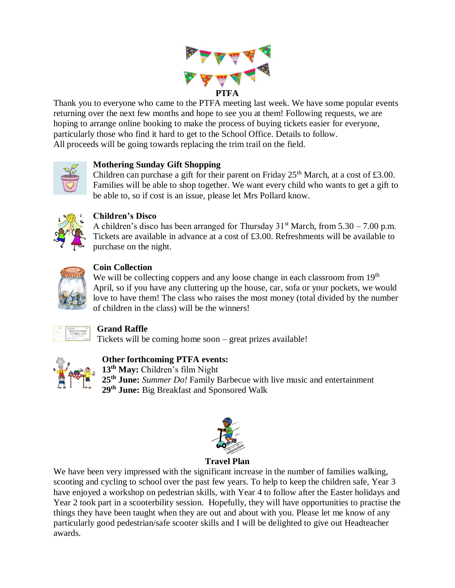

Thank you to everyone who came to the PTFA meeting last week. We have some popular events returning over the next few months and hope to see you at them! Following requests, we are hoping to arrange online booking to make the process of buying tickets easier for everyone, particularly those who find it hard to get to the School Office. Details to follow. All proceeds will be going towards replacing the trim trail on the field.



## **Mothering Sunday Gift Shopping**

Children can purchase a gift for their parent on Friday  $25<sup>th</sup>$  March, at a cost of £3.00. Families will be able to shop together. We want every child who wants to get a gift to be able to, so if cost is an issue, please let Mrs Pollard know.



#### **Children's Disco**

A children's disco has been arranged for Thursday  $31<sup>st</sup>$  March, from  $5.30 - 7.00$  p.m. Tickets are available in advance at a cost of £3.00. Refreshments will be available to purchase on the night.



## **Coin Collection**

We will be collecting coppers and any loose change in each classroom from 19<sup>th</sup> April, so if you have any cluttering up the house, car, sofa or your pockets, we would love to have them! The class who raises the most money (total divided by the number of children in the class) will be the winners!



## **Grand Raffle**

Tickets will be coming home soon – great prizes available!



## **Other forthcoming PTFA events:**

**13th May:** Children's film Night **25th June:** *Summer Do!* Family Barbecue with live music and entertainment **29th June:** Big Breakfast and Sponsored Walk



## **Travel Plan**

We have been very impressed with the significant increase in the number of families walking, scooting and cycling to school over the past few years. To help to keep the children safe, Year 3 have enjoyed a workshop on pedestrian skills, with Year 4 to follow after the Easter holidays and Year 2 took part in a scooterbility session. Hopefully, they will have opportunities to practise the things they have been taught when they are out and about with you. Please let me know of any particularly good pedestrian/safe scooter skills and I will be delighted to give out Headteacher awards.